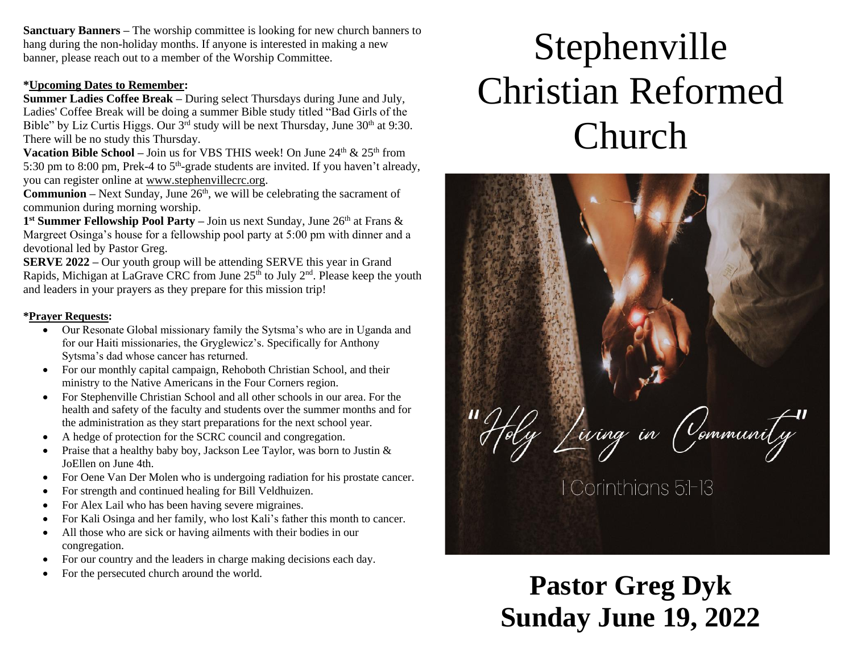**Sanctuary Banners –** The worship committee is looking for new church banners to hang during the non-holiday months. If anyone is interested in making a new banner, please reach out to a member of the Worship Committee.

#### **\*Upcoming Dates to Remember:**

**Summer Ladies Coffee Break –** During select Thursdays during June and July, Ladies' Coffee Break will be doing a summer Bible study titled "Bad Girls of the Bible" by Liz Curtis Higgs. Our  $3<sup>rd</sup>$  study will be next Thursday, June  $30<sup>th</sup>$  at 9:30. There will be no study this Thursday.

**Vacation Bible School –** Join us for VBS THIS week! On June  $24<sup>th</sup> \& 25<sup>th</sup>$  from 5:30 pm to 8:00 pm, Prek-4 to  $5<sup>th</sup>$ -grade students are invited. If you haven't already, you can register online at [www.stephenvillecrc.org.](http://www.stephenvillecrc.org/)

**Communion** – Next Sunday, June  $26<sup>th</sup>$ , we will be celebrating the sacrament of communion during morning worship.

1<sup>st</sup> Summer Fellowship Pool Party – Join us next Sunday, June 26<sup>th</sup> at Frans & Margreet Osinga's house for a fellowship pool party at 5:00 pm with dinner and a devotional led by Pastor Greg.

**SERVE 2022 –** Our youth group will be attending SERVE this year in Grand Rapids, Michigan at LaGrave CRC from June  $25<sup>th</sup>$  to July  $2<sup>nd</sup>$ . Please keep the youth and leaders in your prayers as they prepare for this mission trip!

#### **\*Prayer Requests:**

- Our Resonate Global missionary family the Sytsma's who are in Uganda and for our Haiti missionaries, the Gryglewicz's. Specifically for Anthony Sytsma's dad whose cancer has returned.
- For our monthly capital campaign, Rehoboth Christian School, and their ministry to the Native Americans in the Four Corners region.
- For Stephenville Christian School and all other schools in our area. For the health and safety of the faculty and students over the summer months and for the administration as they start preparations for the next school year.
- A hedge of protection for the SCRC council and congregation.
- Praise that a healthy baby boy, Jackson Lee Taylor, was born to Justin & JoEllen on June 4th.
- For Oene Van Der Molen who is undergoing radiation for his prostate cancer.
- For strength and continued healing for Bill Veldhuizen.
- For Alex Lail who has been having severe migraines.
- For Kali Osinga and her family, who lost Kali's father this month to cancer.
- All those who are sick or having ailments with their bodies in our congregation.
- For our country and the leaders in charge making decisions each day.
- For the persecuted church around the world.

# Stephenville Christian Reformed Church



**Pastor Greg Dyk Sunday June 19, 2022**